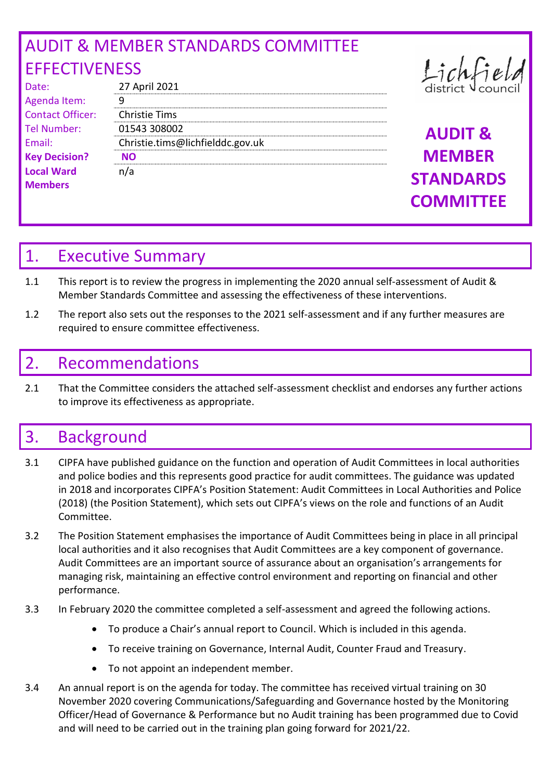# AUDIT & MEMBER STANDARDS COMMITTEE **EFFECTIVENESS**

| Date:                   | 27 April 2021        |
|-------------------------|----------------------|
| Agenda Item:            | q                    |
| <b>Contact Officer:</b> | <b>Christie Tims</b> |
| <b>Tel Number:</b>      | 01543 30800          |
| Email:                  | Christie.tims        |
| <b>Key Decision?</b>    | NΟ                   |
| <b>Local Ward</b>       | n/a                  |
| <b>Members</b>          |                      |

| 27 April 2021                    | district V cou     |
|----------------------------------|--------------------|
| q                                |                    |
| <b>Christie Tims</b>             |                    |
| 01543 308002                     | <b>AUDIT &amp;</b> |
| Christie.tims@lichfielddc.gov.uk |                    |
| <b>NO</b>                        | <b>MEMBER</b>      |
| n/a                              | <b>STANDARD</b>    |
|                                  |                    |

Lichfie

**MEMBER STANDARDS COMMITTEE** 

## 1. Executive Summary

- 1.1 This report is to review the progress in implementing the 2020 annual self-assessment of Audit & Member Standards Committee and assessing the effectiveness of these interventions.
- 1.2 The report also sets out the responses to the 2021 self-assessment and if any further measures are required to ensure committee effectiveness.

## 2. Recommendations

2.1 That the Committee considers the attached self-assessment checklist and endorses any further actions to improve its effectiveness as appropriate.

# 3. Background

- 3.1 CIPFA have published guidance on the function and operation of Audit Committees in local authorities and police bodies and this represents good practice for audit committees. The guidance was updated in 2018 and incorporates CIPFA's Position Statement: Audit Committees in Local Authorities and Police (2018) (the Position Statement), which sets out CIPFA's views on the role and functions of an Audit Committee.
- 3.2 The Position Statement emphasises the importance of Audit Committees being in place in all principal local authorities and it also recognises that Audit Committees are a key component of governance. Audit Committees are an important source of assurance about an organisation's arrangements for managing risk, maintaining an effective control environment and reporting on financial and other performance.
- 3.3 In February 2020 the committee completed a self-assessment and agreed the following actions.
	- To produce a Chair's annual report to Council. Which is included in this agenda.
	- To receive training on Governance, Internal Audit, Counter Fraud and Treasury.
	- To not appoint an independent member.
- 3.4 An annual report is on the agenda for today. The committee has received virtual training on 30 November 2020 covering Communications/Safeguarding and Governance hosted by the Monitoring Officer/Head of Governance & Performance but no Audit training has been programmed due to Covid and will need to be carried out in the training plan going forward for 2021/22.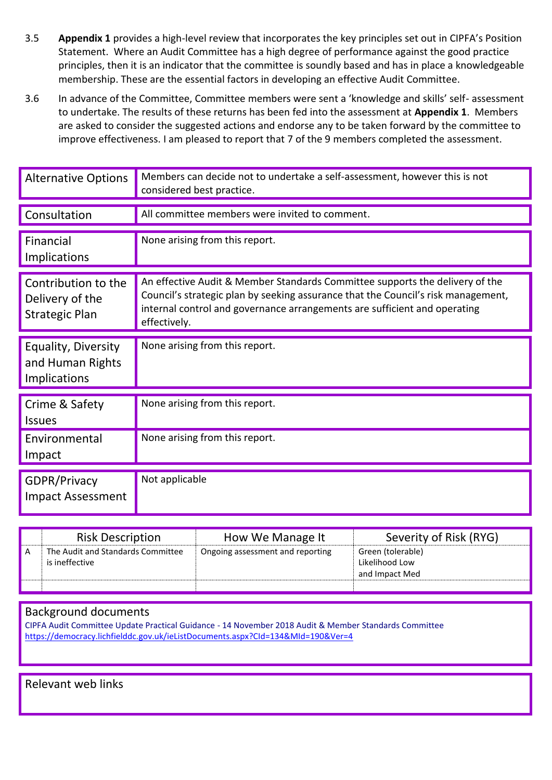- 3.5 **Appendix 1** provides a high-level review that incorporates the key principles set out in CIPFA's Position Statement. Where an Audit Committee has a high degree of performance against the good practice principles, then it is an indicator that the committee is soundly based and has in place a knowledgeable membership. These are the essential factors in developing an effective Audit Committee.
- 3.6 In advance of the Committee, Committee members were sent a 'knowledge and skills' self- assessment to undertake. The results of these returns has been fed into the assessment at **Appendix 1**. Members are asked to consider the suggested actions and endorse any to be taken forward by the committee to improve effectiveness. I am pleased to report that 7 of the 9 members completed the assessment.

| <b>Alternative Options</b>                                      | Members can decide not to undertake a self-assessment, however this is not<br>considered best practice.                                                                                                                                                        |
|-----------------------------------------------------------------|----------------------------------------------------------------------------------------------------------------------------------------------------------------------------------------------------------------------------------------------------------------|
| Consultation                                                    | All committee members were invited to comment.                                                                                                                                                                                                                 |
| Financial<br>Implications                                       | None arising from this report.                                                                                                                                                                                                                                 |
| Contribution to the<br>Delivery of the<br><b>Strategic Plan</b> | An effective Audit & Member Standards Committee supports the delivery of the<br>Council's strategic plan by seeking assurance that the Council's risk management,<br>internal control and governance arrangements are sufficient and operating<br>effectively. |
| Equality, Diversity<br>and Human Rights<br>Implications         | None arising from this report.                                                                                                                                                                                                                                 |
| Crime & Safety<br><b>Issues</b>                                 | None arising from this report.                                                                                                                                                                                                                                 |
| Environmental<br>Impact                                         | None arising from this report.                                                                                                                                                                                                                                 |
| <b>GDPR/Privacy</b><br><b>Impact Assessment</b>                 | Not applicable                                                                                                                                                                                                                                                 |

|   | <b>Risk Description</b>                             | How We Manage It                 | Severity of Risk (RYG)                                |
|---|-----------------------------------------------------|----------------------------------|-------------------------------------------------------|
| A | The Audit and Standards Committee<br>is ineffective | Ongoing assessment and reporting | Green (tolerable)<br>Likelihood Low<br>and Impact Med |
|   |                                                     |                                  |                                                       |

#### Background documents

CIPFA Audit Committee Update Practical Guidance - 14 November 2018 Audit & Member Standards Committee <https://democracy.lichfielddc.gov.uk/ieListDocuments.aspx?CId=134&MId=190&Ver=4>

Relevant web links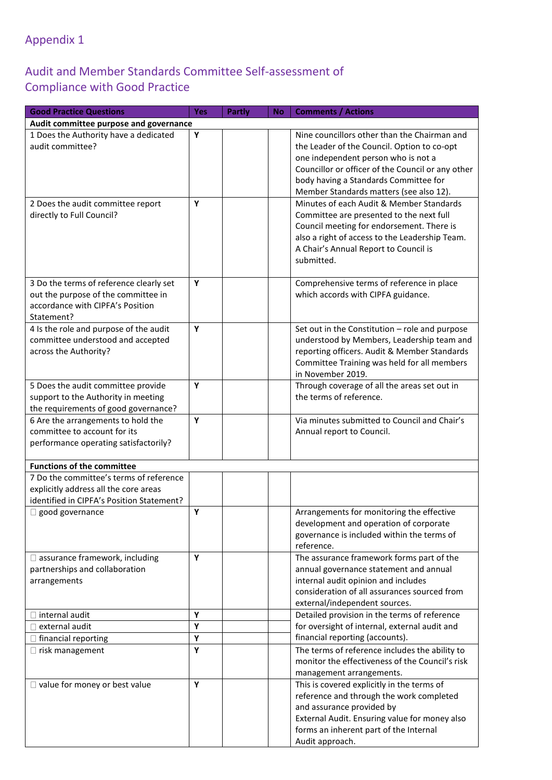### Appendix 1

#### Audit and Member Standards Committee Self-assessment of Compliance with Good Practice

| Audit committee purpose and governance<br>Υ<br>1 Does the Authority have a dedicated<br>Nine councillors other than the Chairman and<br>audit committee?<br>the Leader of the Council. Option to co-opt<br>one independent person who is not a<br>Councillor or officer of the Council or any other<br>body having a Standards Committee for<br>Member Standards matters (see also 12).<br>Υ<br>Minutes of each Audit & Member Standards<br>2 Does the audit committee report<br>directly to Full Council?<br>Committee are presented to the next full<br>Council meeting for endorsement. There is<br>also a right of access to the Leadership Team.<br>A Chair's Annual Report to Council is<br>submitted.<br>Υ<br>3 Do the terms of reference clearly set<br>Comprehensive terms of reference in place<br>out the purpose of the committee in<br>which accords with CIPFA guidance.<br>accordance with CIPFA's Position<br>Statement?<br>4 Is the role and purpose of the audit<br>Υ<br>Set out in the Constitution - role and purpose<br>committee understood and accepted<br>understood by Members, Leadership team and<br>reporting officers. Audit & Member Standards<br>across the Authority?<br>Committee Training was held for all members<br>in November 2019.<br>Υ<br>5 Does the audit committee provide<br>Through coverage of all the areas set out in<br>the terms of reference.<br>support to the Authority in meeting<br>the requirements of good governance?<br>6 Are the arrangements to hold the<br>Via minutes submitted to Council and Chair's<br>Y<br>committee to account for its<br>Annual report to Council.<br>performance operating satisfactorily?<br><b>Functions of the committee</b><br>7 Do the committee's terms of reference<br>explicitly address all the core areas<br>identified in CIPFA's Position Statement?<br>Arrangements for monitoring the effective<br>Y<br>$\Box$ good governance<br>development and operation of corporate<br>governance is included within the terms of<br>reference.<br>Y<br>The assurance framework forms part of the<br>$\square$ assurance framework, including<br>partnerships and collaboration<br>annual governance statement and annual<br>internal audit opinion and includes<br>arrangements<br>consideration of all assurances sourced from<br>external/independent sources.<br>$\Box$ internal audit<br>Y<br>Detailed provision in the terms of reference<br>for oversight of internal, external audit and<br>Υ<br>$\Box$ external audit<br>financial reporting (accounts).<br>Υ<br>$\Box$ financial reporting<br>The terms of reference includes the ability to<br>Υ<br>$\Box$ risk management<br>monitor the effectiveness of the Council's risk<br>management arrangements.<br>Υ<br>$\Box$ value for money or best value<br>This is covered explicitly in the terms of<br>reference and through the work completed<br>and assurance provided by<br>External Audit. Ensuring value for money also<br>forms an inherent part of the Internal | <b>Good Practice Questions</b> | Yes | <b>Partly</b> | <b>No</b> | <b>Comments / Actions</b> |
|-----------------------------------------------------------------------------------------------------------------------------------------------------------------------------------------------------------------------------------------------------------------------------------------------------------------------------------------------------------------------------------------------------------------------------------------------------------------------------------------------------------------------------------------------------------------------------------------------------------------------------------------------------------------------------------------------------------------------------------------------------------------------------------------------------------------------------------------------------------------------------------------------------------------------------------------------------------------------------------------------------------------------------------------------------------------------------------------------------------------------------------------------------------------------------------------------------------------------------------------------------------------------------------------------------------------------------------------------------------------------------------------------------------------------------------------------------------------------------------------------------------------------------------------------------------------------------------------------------------------------------------------------------------------------------------------------------------------------------------------------------------------------------------------------------------------------------------------------------------------------------------------------------------------------------------------------------------------------------------------------------------------------------------------------------------------------------------------------------------------------------------------------------------------------------------------------------------------------------------------------------------------------------------------------------------------------------------------------------------------------------------------------------------------------------------------------------------------------------------------------------------------------------------------------------------------------------------------------------------------------------------------------------------------------------------------------------------------------------------------------------------------------------------------------------------------------------------------------------------------------------------------------------------------------------------------------------------------------------------------------------------------------------|--------------------------------|-----|---------------|-----------|---------------------------|
|                                                                                                                                                                                                                                                                                                                                                                                                                                                                                                                                                                                                                                                                                                                                                                                                                                                                                                                                                                                                                                                                                                                                                                                                                                                                                                                                                                                                                                                                                                                                                                                                                                                                                                                                                                                                                                                                                                                                                                                                                                                                                                                                                                                                                                                                                                                                                                                                                                                                                                                                                                                                                                                                                                                                                                                                                                                                                                                                                                                                                             |                                |     |               |           |                           |
|                                                                                                                                                                                                                                                                                                                                                                                                                                                                                                                                                                                                                                                                                                                                                                                                                                                                                                                                                                                                                                                                                                                                                                                                                                                                                                                                                                                                                                                                                                                                                                                                                                                                                                                                                                                                                                                                                                                                                                                                                                                                                                                                                                                                                                                                                                                                                                                                                                                                                                                                                                                                                                                                                                                                                                                                                                                                                                                                                                                                                             |                                |     |               |           |                           |
|                                                                                                                                                                                                                                                                                                                                                                                                                                                                                                                                                                                                                                                                                                                                                                                                                                                                                                                                                                                                                                                                                                                                                                                                                                                                                                                                                                                                                                                                                                                                                                                                                                                                                                                                                                                                                                                                                                                                                                                                                                                                                                                                                                                                                                                                                                                                                                                                                                                                                                                                                                                                                                                                                                                                                                                                                                                                                                                                                                                                                             |                                |     |               |           |                           |
|                                                                                                                                                                                                                                                                                                                                                                                                                                                                                                                                                                                                                                                                                                                                                                                                                                                                                                                                                                                                                                                                                                                                                                                                                                                                                                                                                                                                                                                                                                                                                                                                                                                                                                                                                                                                                                                                                                                                                                                                                                                                                                                                                                                                                                                                                                                                                                                                                                                                                                                                                                                                                                                                                                                                                                                                                                                                                                                                                                                                                             |                                |     |               |           |                           |
|                                                                                                                                                                                                                                                                                                                                                                                                                                                                                                                                                                                                                                                                                                                                                                                                                                                                                                                                                                                                                                                                                                                                                                                                                                                                                                                                                                                                                                                                                                                                                                                                                                                                                                                                                                                                                                                                                                                                                                                                                                                                                                                                                                                                                                                                                                                                                                                                                                                                                                                                                                                                                                                                                                                                                                                                                                                                                                                                                                                                                             |                                |     |               |           |                           |
|                                                                                                                                                                                                                                                                                                                                                                                                                                                                                                                                                                                                                                                                                                                                                                                                                                                                                                                                                                                                                                                                                                                                                                                                                                                                                                                                                                                                                                                                                                                                                                                                                                                                                                                                                                                                                                                                                                                                                                                                                                                                                                                                                                                                                                                                                                                                                                                                                                                                                                                                                                                                                                                                                                                                                                                                                                                                                                                                                                                                                             |                                |     |               |           |                           |
|                                                                                                                                                                                                                                                                                                                                                                                                                                                                                                                                                                                                                                                                                                                                                                                                                                                                                                                                                                                                                                                                                                                                                                                                                                                                                                                                                                                                                                                                                                                                                                                                                                                                                                                                                                                                                                                                                                                                                                                                                                                                                                                                                                                                                                                                                                                                                                                                                                                                                                                                                                                                                                                                                                                                                                                                                                                                                                                                                                                                                             |                                |     |               |           |                           |
|                                                                                                                                                                                                                                                                                                                                                                                                                                                                                                                                                                                                                                                                                                                                                                                                                                                                                                                                                                                                                                                                                                                                                                                                                                                                                                                                                                                                                                                                                                                                                                                                                                                                                                                                                                                                                                                                                                                                                                                                                                                                                                                                                                                                                                                                                                                                                                                                                                                                                                                                                                                                                                                                                                                                                                                                                                                                                                                                                                                                                             |                                |     |               |           |                           |
|                                                                                                                                                                                                                                                                                                                                                                                                                                                                                                                                                                                                                                                                                                                                                                                                                                                                                                                                                                                                                                                                                                                                                                                                                                                                                                                                                                                                                                                                                                                                                                                                                                                                                                                                                                                                                                                                                                                                                                                                                                                                                                                                                                                                                                                                                                                                                                                                                                                                                                                                                                                                                                                                                                                                                                                                                                                                                                                                                                                                                             |                                |     |               |           |                           |
|                                                                                                                                                                                                                                                                                                                                                                                                                                                                                                                                                                                                                                                                                                                                                                                                                                                                                                                                                                                                                                                                                                                                                                                                                                                                                                                                                                                                                                                                                                                                                                                                                                                                                                                                                                                                                                                                                                                                                                                                                                                                                                                                                                                                                                                                                                                                                                                                                                                                                                                                                                                                                                                                                                                                                                                                                                                                                                                                                                                                                             |                                |     |               |           |                           |
|                                                                                                                                                                                                                                                                                                                                                                                                                                                                                                                                                                                                                                                                                                                                                                                                                                                                                                                                                                                                                                                                                                                                                                                                                                                                                                                                                                                                                                                                                                                                                                                                                                                                                                                                                                                                                                                                                                                                                                                                                                                                                                                                                                                                                                                                                                                                                                                                                                                                                                                                                                                                                                                                                                                                                                                                                                                                                                                                                                                                                             |                                |     |               |           |                           |
|                                                                                                                                                                                                                                                                                                                                                                                                                                                                                                                                                                                                                                                                                                                                                                                                                                                                                                                                                                                                                                                                                                                                                                                                                                                                                                                                                                                                                                                                                                                                                                                                                                                                                                                                                                                                                                                                                                                                                                                                                                                                                                                                                                                                                                                                                                                                                                                                                                                                                                                                                                                                                                                                                                                                                                                                                                                                                                                                                                                                                             |                                |     |               |           |                           |
|                                                                                                                                                                                                                                                                                                                                                                                                                                                                                                                                                                                                                                                                                                                                                                                                                                                                                                                                                                                                                                                                                                                                                                                                                                                                                                                                                                                                                                                                                                                                                                                                                                                                                                                                                                                                                                                                                                                                                                                                                                                                                                                                                                                                                                                                                                                                                                                                                                                                                                                                                                                                                                                                                                                                                                                                                                                                                                                                                                                                                             |                                |     |               |           |                           |
|                                                                                                                                                                                                                                                                                                                                                                                                                                                                                                                                                                                                                                                                                                                                                                                                                                                                                                                                                                                                                                                                                                                                                                                                                                                                                                                                                                                                                                                                                                                                                                                                                                                                                                                                                                                                                                                                                                                                                                                                                                                                                                                                                                                                                                                                                                                                                                                                                                                                                                                                                                                                                                                                                                                                                                                                                                                                                                                                                                                                                             |                                |     |               |           |                           |
|                                                                                                                                                                                                                                                                                                                                                                                                                                                                                                                                                                                                                                                                                                                                                                                                                                                                                                                                                                                                                                                                                                                                                                                                                                                                                                                                                                                                                                                                                                                                                                                                                                                                                                                                                                                                                                                                                                                                                                                                                                                                                                                                                                                                                                                                                                                                                                                                                                                                                                                                                                                                                                                                                                                                                                                                                                                                                                                                                                                                                             |                                |     |               |           |                           |
|                                                                                                                                                                                                                                                                                                                                                                                                                                                                                                                                                                                                                                                                                                                                                                                                                                                                                                                                                                                                                                                                                                                                                                                                                                                                                                                                                                                                                                                                                                                                                                                                                                                                                                                                                                                                                                                                                                                                                                                                                                                                                                                                                                                                                                                                                                                                                                                                                                                                                                                                                                                                                                                                                                                                                                                                                                                                                                                                                                                                                             |                                |     |               |           |                           |
|                                                                                                                                                                                                                                                                                                                                                                                                                                                                                                                                                                                                                                                                                                                                                                                                                                                                                                                                                                                                                                                                                                                                                                                                                                                                                                                                                                                                                                                                                                                                                                                                                                                                                                                                                                                                                                                                                                                                                                                                                                                                                                                                                                                                                                                                                                                                                                                                                                                                                                                                                                                                                                                                                                                                                                                                                                                                                                                                                                                                                             |                                |     |               |           |                           |
|                                                                                                                                                                                                                                                                                                                                                                                                                                                                                                                                                                                                                                                                                                                                                                                                                                                                                                                                                                                                                                                                                                                                                                                                                                                                                                                                                                                                                                                                                                                                                                                                                                                                                                                                                                                                                                                                                                                                                                                                                                                                                                                                                                                                                                                                                                                                                                                                                                                                                                                                                                                                                                                                                                                                                                                                                                                                                                                                                                                                                             |                                |     |               |           |                           |
|                                                                                                                                                                                                                                                                                                                                                                                                                                                                                                                                                                                                                                                                                                                                                                                                                                                                                                                                                                                                                                                                                                                                                                                                                                                                                                                                                                                                                                                                                                                                                                                                                                                                                                                                                                                                                                                                                                                                                                                                                                                                                                                                                                                                                                                                                                                                                                                                                                                                                                                                                                                                                                                                                                                                                                                                                                                                                                                                                                                                                             |                                |     |               |           |                           |
|                                                                                                                                                                                                                                                                                                                                                                                                                                                                                                                                                                                                                                                                                                                                                                                                                                                                                                                                                                                                                                                                                                                                                                                                                                                                                                                                                                                                                                                                                                                                                                                                                                                                                                                                                                                                                                                                                                                                                                                                                                                                                                                                                                                                                                                                                                                                                                                                                                                                                                                                                                                                                                                                                                                                                                                                                                                                                                                                                                                                                             |                                |     |               |           |                           |
|                                                                                                                                                                                                                                                                                                                                                                                                                                                                                                                                                                                                                                                                                                                                                                                                                                                                                                                                                                                                                                                                                                                                                                                                                                                                                                                                                                                                                                                                                                                                                                                                                                                                                                                                                                                                                                                                                                                                                                                                                                                                                                                                                                                                                                                                                                                                                                                                                                                                                                                                                                                                                                                                                                                                                                                                                                                                                                                                                                                                                             |                                |     |               |           |                           |
|                                                                                                                                                                                                                                                                                                                                                                                                                                                                                                                                                                                                                                                                                                                                                                                                                                                                                                                                                                                                                                                                                                                                                                                                                                                                                                                                                                                                                                                                                                                                                                                                                                                                                                                                                                                                                                                                                                                                                                                                                                                                                                                                                                                                                                                                                                                                                                                                                                                                                                                                                                                                                                                                                                                                                                                                                                                                                                                                                                                                                             |                                |     |               |           |                           |
|                                                                                                                                                                                                                                                                                                                                                                                                                                                                                                                                                                                                                                                                                                                                                                                                                                                                                                                                                                                                                                                                                                                                                                                                                                                                                                                                                                                                                                                                                                                                                                                                                                                                                                                                                                                                                                                                                                                                                                                                                                                                                                                                                                                                                                                                                                                                                                                                                                                                                                                                                                                                                                                                                                                                                                                                                                                                                                                                                                                                                             |                                |     |               |           |                           |
|                                                                                                                                                                                                                                                                                                                                                                                                                                                                                                                                                                                                                                                                                                                                                                                                                                                                                                                                                                                                                                                                                                                                                                                                                                                                                                                                                                                                                                                                                                                                                                                                                                                                                                                                                                                                                                                                                                                                                                                                                                                                                                                                                                                                                                                                                                                                                                                                                                                                                                                                                                                                                                                                                                                                                                                                                                                                                                                                                                                                                             |                                |     |               |           |                           |
|                                                                                                                                                                                                                                                                                                                                                                                                                                                                                                                                                                                                                                                                                                                                                                                                                                                                                                                                                                                                                                                                                                                                                                                                                                                                                                                                                                                                                                                                                                                                                                                                                                                                                                                                                                                                                                                                                                                                                                                                                                                                                                                                                                                                                                                                                                                                                                                                                                                                                                                                                                                                                                                                                                                                                                                                                                                                                                                                                                                                                             |                                |     |               |           |                           |
|                                                                                                                                                                                                                                                                                                                                                                                                                                                                                                                                                                                                                                                                                                                                                                                                                                                                                                                                                                                                                                                                                                                                                                                                                                                                                                                                                                                                                                                                                                                                                                                                                                                                                                                                                                                                                                                                                                                                                                                                                                                                                                                                                                                                                                                                                                                                                                                                                                                                                                                                                                                                                                                                                                                                                                                                                                                                                                                                                                                                                             |                                |     |               |           |                           |
|                                                                                                                                                                                                                                                                                                                                                                                                                                                                                                                                                                                                                                                                                                                                                                                                                                                                                                                                                                                                                                                                                                                                                                                                                                                                                                                                                                                                                                                                                                                                                                                                                                                                                                                                                                                                                                                                                                                                                                                                                                                                                                                                                                                                                                                                                                                                                                                                                                                                                                                                                                                                                                                                                                                                                                                                                                                                                                                                                                                                                             |                                |     |               |           |                           |
|                                                                                                                                                                                                                                                                                                                                                                                                                                                                                                                                                                                                                                                                                                                                                                                                                                                                                                                                                                                                                                                                                                                                                                                                                                                                                                                                                                                                                                                                                                                                                                                                                                                                                                                                                                                                                                                                                                                                                                                                                                                                                                                                                                                                                                                                                                                                                                                                                                                                                                                                                                                                                                                                                                                                                                                                                                                                                                                                                                                                                             |                                |     |               |           |                           |
|                                                                                                                                                                                                                                                                                                                                                                                                                                                                                                                                                                                                                                                                                                                                                                                                                                                                                                                                                                                                                                                                                                                                                                                                                                                                                                                                                                                                                                                                                                                                                                                                                                                                                                                                                                                                                                                                                                                                                                                                                                                                                                                                                                                                                                                                                                                                                                                                                                                                                                                                                                                                                                                                                                                                                                                                                                                                                                                                                                                                                             |                                |     |               |           |                           |
|                                                                                                                                                                                                                                                                                                                                                                                                                                                                                                                                                                                                                                                                                                                                                                                                                                                                                                                                                                                                                                                                                                                                                                                                                                                                                                                                                                                                                                                                                                                                                                                                                                                                                                                                                                                                                                                                                                                                                                                                                                                                                                                                                                                                                                                                                                                                                                                                                                                                                                                                                                                                                                                                                                                                                                                                                                                                                                                                                                                                                             |                                |     |               |           |                           |
|                                                                                                                                                                                                                                                                                                                                                                                                                                                                                                                                                                                                                                                                                                                                                                                                                                                                                                                                                                                                                                                                                                                                                                                                                                                                                                                                                                                                                                                                                                                                                                                                                                                                                                                                                                                                                                                                                                                                                                                                                                                                                                                                                                                                                                                                                                                                                                                                                                                                                                                                                                                                                                                                                                                                                                                                                                                                                                                                                                                                                             |                                |     |               |           |                           |
|                                                                                                                                                                                                                                                                                                                                                                                                                                                                                                                                                                                                                                                                                                                                                                                                                                                                                                                                                                                                                                                                                                                                                                                                                                                                                                                                                                                                                                                                                                                                                                                                                                                                                                                                                                                                                                                                                                                                                                                                                                                                                                                                                                                                                                                                                                                                                                                                                                                                                                                                                                                                                                                                                                                                                                                                                                                                                                                                                                                                                             |                                |     |               |           |                           |
|                                                                                                                                                                                                                                                                                                                                                                                                                                                                                                                                                                                                                                                                                                                                                                                                                                                                                                                                                                                                                                                                                                                                                                                                                                                                                                                                                                                                                                                                                                                                                                                                                                                                                                                                                                                                                                                                                                                                                                                                                                                                                                                                                                                                                                                                                                                                                                                                                                                                                                                                                                                                                                                                                                                                                                                                                                                                                                                                                                                                                             |                                |     |               |           |                           |
|                                                                                                                                                                                                                                                                                                                                                                                                                                                                                                                                                                                                                                                                                                                                                                                                                                                                                                                                                                                                                                                                                                                                                                                                                                                                                                                                                                                                                                                                                                                                                                                                                                                                                                                                                                                                                                                                                                                                                                                                                                                                                                                                                                                                                                                                                                                                                                                                                                                                                                                                                                                                                                                                                                                                                                                                                                                                                                                                                                                                                             |                                |     |               |           |                           |
|                                                                                                                                                                                                                                                                                                                                                                                                                                                                                                                                                                                                                                                                                                                                                                                                                                                                                                                                                                                                                                                                                                                                                                                                                                                                                                                                                                                                                                                                                                                                                                                                                                                                                                                                                                                                                                                                                                                                                                                                                                                                                                                                                                                                                                                                                                                                                                                                                                                                                                                                                                                                                                                                                                                                                                                                                                                                                                                                                                                                                             |                                |     |               |           |                           |
|                                                                                                                                                                                                                                                                                                                                                                                                                                                                                                                                                                                                                                                                                                                                                                                                                                                                                                                                                                                                                                                                                                                                                                                                                                                                                                                                                                                                                                                                                                                                                                                                                                                                                                                                                                                                                                                                                                                                                                                                                                                                                                                                                                                                                                                                                                                                                                                                                                                                                                                                                                                                                                                                                                                                                                                                                                                                                                                                                                                                                             |                                |     |               |           |                           |
|                                                                                                                                                                                                                                                                                                                                                                                                                                                                                                                                                                                                                                                                                                                                                                                                                                                                                                                                                                                                                                                                                                                                                                                                                                                                                                                                                                                                                                                                                                                                                                                                                                                                                                                                                                                                                                                                                                                                                                                                                                                                                                                                                                                                                                                                                                                                                                                                                                                                                                                                                                                                                                                                                                                                                                                                                                                                                                                                                                                                                             |                                |     |               |           |                           |
|                                                                                                                                                                                                                                                                                                                                                                                                                                                                                                                                                                                                                                                                                                                                                                                                                                                                                                                                                                                                                                                                                                                                                                                                                                                                                                                                                                                                                                                                                                                                                                                                                                                                                                                                                                                                                                                                                                                                                                                                                                                                                                                                                                                                                                                                                                                                                                                                                                                                                                                                                                                                                                                                                                                                                                                                                                                                                                                                                                                                                             |                                |     |               |           |                           |
|                                                                                                                                                                                                                                                                                                                                                                                                                                                                                                                                                                                                                                                                                                                                                                                                                                                                                                                                                                                                                                                                                                                                                                                                                                                                                                                                                                                                                                                                                                                                                                                                                                                                                                                                                                                                                                                                                                                                                                                                                                                                                                                                                                                                                                                                                                                                                                                                                                                                                                                                                                                                                                                                                                                                                                                                                                                                                                                                                                                                                             |                                |     |               |           |                           |
|                                                                                                                                                                                                                                                                                                                                                                                                                                                                                                                                                                                                                                                                                                                                                                                                                                                                                                                                                                                                                                                                                                                                                                                                                                                                                                                                                                                                                                                                                                                                                                                                                                                                                                                                                                                                                                                                                                                                                                                                                                                                                                                                                                                                                                                                                                                                                                                                                                                                                                                                                                                                                                                                                                                                                                                                                                                                                                                                                                                                                             |                                |     |               |           |                           |
|                                                                                                                                                                                                                                                                                                                                                                                                                                                                                                                                                                                                                                                                                                                                                                                                                                                                                                                                                                                                                                                                                                                                                                                                                                                                                                                                                                                                                                                                                                                                                                                                                                                                                                                                                                                                                                                                                                                                                                                                                                                                                                                                                                                                                                                                                                                                                                                                                                                                                                                                                                                                                                                                                                                                                                                                                                                                                                                                                                                                                             |                                |     |               |           |                           |
|                                                                                                                                                                                                                                                                                                                                                                                                                                                                                                                                                                                                                                                                                                                                                                                                                                                                                                                                                                                                                                                                                                                                                                                                                                                                                                                                                                                                                                                                                                                                                                                                                                                                                                                                                                                                                                                                                                                                                                                                                                                                                                                                                                                                                                                                                                                                                                                                                                                                                                                                                                                                                                                                                                                                                                                                                                                                                                                                                                                                                             |                                |     |               |           |                           |
|                                                                                                                                                                                                                                                                                                                                                                                                                                                                                                                                                                                                                                                                                                                                                                                                                                                                                                                                                                                                                                                                                                                                                                                                                                                                                                                                                                                                                                                                                                                                                                                                                                                                                                                                                                                                                                                                                                                                                                                                                                                                                                                                                                                                                                                                                                                                                                                                                                                                                                                                                                                                                                                                                                                                                                                                                                                                                                                                                                                                                             |                                |     |               |           |                           |
|                                                                                                                                                                                                                                                                                                                                                                                                                                                                                                                                                                                                                                                                                                                                                                                                                                                                                                                                                                                                                                                                                                                                                                                                                                                                                                                                                                                                                                                                                                                                                                                                                                                                                                                                                                                                                                                                                                                                                                                                                                                                                                                                                                                                                                                                                                                                                                                                                                                                                                                                                                                                                                                                                                                                                                                                                                                                                                                                                                                                                             |                                |     |               |           |                           |
|                                                                                                                                                                                                                                                                                                                                                                                                                                                                                                                                                                                                                                                                                                                                                                                                                                                                                                                                                                                                                                                                                                                                                                                                                                                                                                                                                                                                                                                                                                                                                                                                                                                                                                                                                                                                                                                                                                                                                                                                                                                                                                                                                                                                                                                                                                                                                                                                                                                                                                                                                                                                                                                                                                                                                                                                                                                                                                                                                                                                                             |                                |     |               |           |                           |
|                                                                                                                                                                                                                                                                                                                                                                                                                                                                                                                                                                                                                                                                                                                                                                                                                                                                                                                                                                                                                                                                                                                                                                                                                                                                                                                                                                                                                                                                                                                                                                                                                                                                                                                                                                                                                                                                                                                                                                                                                                                                                                                                                                                                                                                                                                                                                                                                                                                                                                                                                                                                                                                                                                                                                                                                                                                                                                                                                                                                                             |                                |     |               |           |                           |
|                                                                                                                                                                                                                                                                                                                                                                                                                                                                                                                                                                                                                                                                                                                                                                                                                                                                                                                                                                                                                                                                                                                                                                                                                                                                                                                                                                                                                                                                                                                                                                                                                                                                                                                                                                                                                                                                                                                                                                                                                                                                                                                                                                                                                                                                                                                                                                                                                                                                                                                                                                                                                                                                                                                                                                                                                                                                                                                                                                                                                             |                                |     |               |           |                           |
|                                                                                                                                                                                                                                                                                                                                                                                                                                                                                                                                                                                                                                                                                                                                                                                                                                                                                                                                                                                                                                                                                                                                                                                                                                                                                                                                                                                                                                                                                                                                                                                                                                                                                                                                                                                                                                                                                                                                                                                                                                                                                                                                                                                                                                                                                                                                                                                                                                                                                                                                                                                                                                                                                                                                                                                                                                                                                                                                                                                                                             |                                |     |               |           |                           |
|                                                                                                                                                                                                                                                                                                                                                                                                                                                                                                                                                                                                                                                                                                                                                                                                                                                                                                                                                                                                                                                                                                                                                                                                                                                                                                                                                                                                                                                                                                                                                                                                                                                                                                                                                                                                                                                                                                                                                                                                                                                                                                                                                                                                                                                                                                                                                                                                                                                                                                                                                                                                                                                                                                                                                                                                                                                                                                                                                                                                                             |                                |     |               |           |                           |
|                                                                                                                                                                                                                                                                                                                                                                                                                                                                                                                                                                                                                                                                                                                                                                                                                                                                                                                                                                                                                                                                                                                                                                                                                                                                                                                                                                                                                                                                                                                                                                                                                                                                                                                                                                                                                                                                                                                                                                                                                                                                                                                                                                                                                                                                                                                                                                                                                                                                                                                                                                                                                                                                                                                                                                                                                                                                                                                                                                                                                             |                                |     |               |           |                           |
|                                                                                                                                                                                                                                                                                                                                                                                                                                                                                                                                                                                                                                                                                                                                                                                                                                                                                                                                                                                                                                                                                                                                                                                                                                                                                                                                                                                                                                                                                                                                                                                                                                                                                                                                                                                                                                                                                                                                                                                                                                                                                                                                                                                                                                                                                                                                                                                                                                                                                                                                                                                                                                                                                                                                                                                                                                                                                                                                                                                                                             |                                |     |               |           |                           |
|                                                                                                                                                                                                                                                                                                                                                                                                                                                                                                                                                                                                                                                                                                                                                                                                                                                                                                                                                                                                                                                                                                                                                                                                                                                                                                                                                                                                                                                                                                                                                                                                                                                                                                                                                                                                                                                                                                                                                                                                                                                                                                                                                                                                                                                                                                                                                                                                                                                                                                                                                                                                                                                                                                                                                                                                                                                                                                                                                                                                                             |                                |     |               |           |                           |
|                                                                                                                                                                                                                                                                                                                                                                                                                                                                                                                                                                                                                                                                                                                                                                                                                                                                                                                                                                                                                                                                                                                                                                                                                                                                                                                                                                                                                                                                                                                                                                                                                                                                                                                                                                                                                                                                                                                                                                                                                                                                                                                                                                                                                                                                                                                                                                                                                                                                                                                                                                                                                                                                                                                                                                                                                                                                                                                                                                                                                             |                                |     |               |           |                           |
|                                                                                                                                                                                                                                                                                                                                                                                                                                                                                                                                                                                                                                                                                                                                                                                                                                                                                                                                                                                                                                                                                                                                                                                                                                                                                                                                                                                                                                                                                                                                                                                                                                                                                                                                                                                                                                                                                                                                                                                                                                                                                                                                                                                                                                                                                                                                                                                                                                                                                                                                                                                                                                                                                                                                                                                                                                                                                                                                                                                                                             |                                |     |               |           |                           |
|                                                                                                                                                                                                                                                                                                                                                                                                                                                                                                                                                                                                                                                                                                                                                                                                                                                                                                                                                                                                                                                                                                                                                                                                                                                                                                                                                                                                                                                                                                                                                                                                                                                                                                                                                                                                                                                                                                                                                                                                                                                                                                                                                                                                                                                                                                                                                                                                                                                                                                                                                                                                                                                                                                                                                                                                                                                                                                                                                                                                                             |                                |     |               |           | Audit approach.           |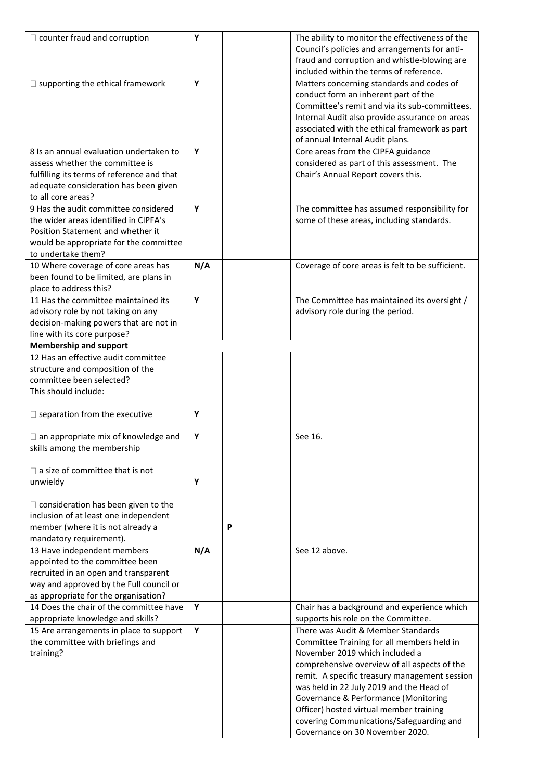| $\Box$ counter fraud and corruption        | Υ   |   | The ability to monitor the effectiveness of the  |
|--------------------------------------------|-----|---|--------------------------------------------------|
|                                            |     |   | Council's policies and arrangements for anti-    |
|                                            |     |   |                                                  |
|                                            |     |   | fraud and corruption and whistle-blowing are     |
|                                            |     |   | included within the terms of reference.          |
| $\square$ supporting the ethical framework | Y   |   | Matters concerning standards and codes of        |
|                                            |     |   | conduct form an inherent part of the             |
|                                            |     |   | Committee's remit and via its sub-committees.    |
|                                            |     |   | Internal Audit also provide assurance on areas   |
|                                            |     |   | associated with the ethical framework as part    |
|                                            |     |   |                                                  |
|                                            |     |   | of annual Internal Audit plans.                  |
| 8 Is an annual evaluation undertaken to    | Υ   |   | Core areas from the CIPFA guidance               |
| assess whether the committee is            |     |   | considered as part of this assessment. The       |
| fulfilling its terms of reference and that |     |   | Chair's Annual Report covers this.               |
| adequate consideration has been given      |     |   |                                                  |
| to all core areas?                         |     |   |                                                  |
| 9 Has the audit committee considered       | Y   |   |                                                  |
|                                            |     |   | The committee has assumed responsibility for     |
| the wider areas identified in CIPFA's      |     |   | some of these areas, including standards.        |
| Position Statement and whether it          |     |   |                                                  |
| would be appropriate for the committee     |     |   |                                                  |
| to undertake them?                         |     |   |                                                  |
| 10 Where coverage of core areas has        | N/A |   | Coverage of core areas is felt to be sufficient. |
| been found to be limited, are plans in     |     |   |                                                  |
|                                            |     |   |                                                  |
| place to address this?                     |     |   |                                                  |
| 11 Has the committee maintained its        | Υ   |   | The Committee has maintained its oversight /     |
| advisory role by not taking on any         |     |   | advisory role during the period.                 |
| decision-making powers that are not in     |     |   |                                                  |
| line with its core purpose?                |     |   |                                                  |
| <b>Membership and support</b>              |     |   |                                                  |
| 12 Has an effective audit committee        |     |   |                                                  |
|                                            |     |   |                                                  |
| structure and composition of the           |     |   |                                                  |
| committee been selected?                   |     |   |                                                  |
| This should include:                       |     |   |                                                  |
|                                            |     |   |                                                  |
| $\square$ separation from the executive    | Υ   |   |                                                  |
|                                            |     |   |                                                  |
| $\Box$ an appropriate mix of knowledge and | Υ   |   | See 16.                                          |
|                                            |     |   |                                                  |
| skills among the membership                |     |   |                                                  |
|                                            |     |   |                                                  |
| $\Box$ a size of committee that is not     |     |   |                                                  |
| unwieldy                                   | Υ   |   |                                                  |
|                                            |     |   |                                                  |
| $\Box$ consideration has been given to the |     |   |                                                  |
| inclusion of at least one independent      |     |   |                                                  |
|                                            |     |   |                                                  |
| member (where it is not already a          |     | P |                                                  |
| mandatory requirement).                    |     |   |                                                  |
| 13 Have independent members                | N/A |   | See 12 above.                                    |
| appointed to the committee been            |     |   |                                                  |
| recruited in an open and transparent       |     |   |                                                  |
| way and approved by the Full council or    |     |   |                                                  |
|                                            |     |   |                                                  |
| as appropriate for the organisation?       |     |   |                                                  |
| 14 Does the chair of the committee have    | Υ   |   | Chair has a background and experience which      |
| appropriate knowledge and skills?          |     |   | supports his role on the Committee.              |
| 15 Are arrangements in place to support    | Υ   |   | There was Audit & Member Standards               |
| the committee with briefings and           |     |   | Committee Training for all members held in       |
| training?                                  |     |   | November 2019 which included a                   |
|                                            |     |   | comprehensive overview of all aspects of the     |
|                                            |     |   |                                                  |
|                                            |     |   | remit. A specific treasury management session    |
|                                            |     |   | was held in 22 July 2019 and the Head of         |
|                                            |     |   | Governance & Performance (Monitoring             |
|                                            |     |   | Officer) hosted virtual member training          |
|                                            |     |   | covering Communications/Safeguarding and         |
|                                            |     |   | Governance on 30 November 2020.                  |
|                                            |     |   |                                                  |